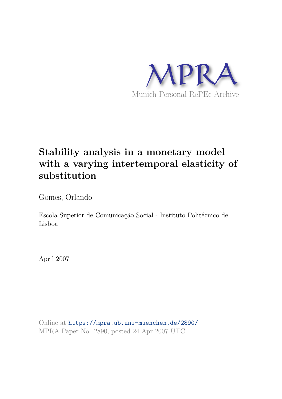

# **Stability analysis in a monetary model with a varying intertemporal elasticity of substitution**

Gomes, Orlando

Escola Superior de Comunicação Social - Instituto Politécnico de Lisboa

April 2007

Online at https://mpra.ub.uni-muenchen.de/2890/ MPRA Paper No. 2890, posted 24 Apr 2007 UTC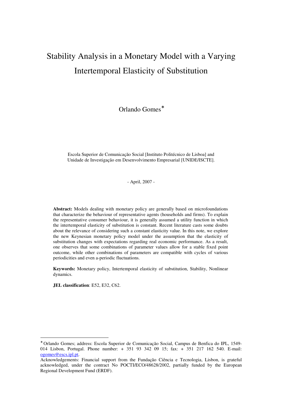# Stability Analysis in a Monetary Model with a Varying Intertemporal Elasticity of Substitution

Orlando Gomes<sup>∗</sup>

Escola Superior de Comunicação Social [Instituto Politécnico de Lisboa] and Unidade de Investigação em Desenvolvimento Empresarial [UNIDE/ISCTE].

- April, 2007 -

**Abstract:** Models dealing with monetary policy are generally based on microfoundations that characterize the behaviour of representative agents (households and firms). To explain the representative consumer behaviour, it is generally assumed a utility function in which the intertemporal elasticity of substitution is constant. Recent literature casts some doubts about the relevance of considering such a constant elasticity value. In this note, we explore the new Keynesian monetary policy model under the assumption that the elasticity of substitution changes with expectations regarding real economic performance. As a result, one observes that some combinations of parameter values allow for a stable fixed point outcome, while other combinations of parameters are compatible with cycles of various periodicities and even a-periodic fluctuations.

**Keywords:** Monetary policy, Intertemporal elasticity of substitution, Stability, Nonlinear dynamics.

**JEL classification**: E52, E32, C62.

 $\overline{a}$ 

<sup>∗</sup> Orlando Gomes; address: Escola Superior de Comunicação Social, Campus de Benfica do IPL, 1549- 014 Lisbon, Portugal. Phone number: + 351 93 342 09 15; fax: + 351 217 162 540. E-mail: ogomes@escs.ipl.pt.

Acknowledgements: Financial support from the Fundação Ciência e Tecnologia, Lisbon, is grateful acknowledged, under the contract No POCTI/ECO/48628/2002, partially funded by the European Regional Development Fund (ERDF).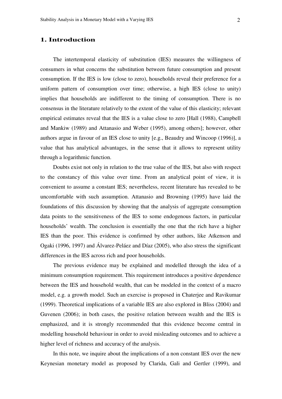## **1. Introduction**

The intertemporal elasticity of substitution (IES) measures the willingness of consumers in what concerns the substitution between future consumption and present consumption. If the IES is low (close to zero), households reveal their preference for a uniform pattern of consumption over time; otherwise, a high IES (close to unity) implies that households are indifferent to the timing of consumption. There is no consensus in the literature relatively to the extent of the value of this elasticity; relevant empirical estimates reveal that the IES is a value close to zero [Hall (1988), Campbell and Mankiw (1989) and Attanasio and Weber (1995), among others]; however, other authors argue in favour of an IES close to unity [e.g., Beaudry and Wincoop (1996)], a value that has analytical advantages, in the sense that it allows to represent utility through a logarithmic function.

Doubts exist not only in relation to the true value of the IES, but also with respect to the constancy of this value over time. From an analytical point of view, it is convenient to assume a constant IES; nevertheless, recent literature has revealed to be uncomfortable with such assumption. Attanasio and Browning (1995) have laid the foundations of this discussion by showing that the analysis of aggregate consumption data points to the sensitiveness of the IES to some endogenous factors, in particular households' wealth. The conclusion is essentially the one that the rich have a higher IES than the poor. This evidence is confirmed by other authors, like Atkenson and Ogaki (1996, 1997) and Álvarez-Peláez and Díaz (2005), who also stress the significant differences in the IES across rich and poor households.

The previous evidence may be explained and modelled through the idea of a minimum consumption requirement. This requirement introduces a positive dependence between the IES and household wealth, that can be modeled in the context of a macro model, e.g. a growth model. Such an exercise is proposed in Chaterjee and Ravikumar (1999). Theoretical implications of a variable IES are also explored in Bliss (2004) and Guvenen (2006); in both cases, the positive relation between wealth and the IES is emphasized, and it is strongly recommended that this evidence become central in modelling household behaviour in order to avoid misleading outcomes and to achieve a higher level of richness and accuracy of the analysis.

In this note, we inquire about the implications of a non constant IES over the new Keynesian monetary model as proposed by Clarida, Gali and Gertler (1999), and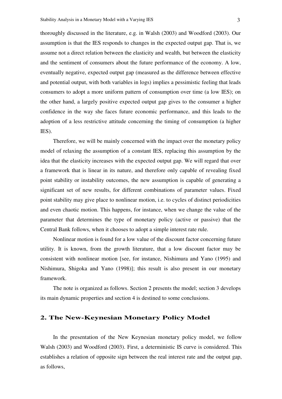thoroughly discussed in the literature, e.g. in Walsh (2003) and Woodford (2003). Our assumption is that the IES responds to changes in the expected output gap. That is, we assume not a direct relation between the elasticity and wealth, but between the elasticity and the sentiment of consumers about the future performance of the economy. A low, eventually negative, expected output gap (measured as the difference between effective and potential output, with both variables in logs) implies a pessimistic feeling that leads consumers to adopt a more uniform pattern of consumption over time (a low IES); on the other hand, a largely positive expected output gap gives to the consumer a higher confidence in the way she faces future economic performance, and this leads to the adoption of a less restrictive attitude concerning the timing of consumption (a higher IES).

Therefore, we will be mainly concerned with the impact over the monetary policy model of relaxing the assumption of a constant IES, replacing this assumption by the idea that the elasticity increases with the expected output gap. We will regard that over a framework that is linear in its nature, and therefore only capable of revealing fixed point stability or instability outcomes, the new assumption is capable of generating a significant set of new results, for different combinations of parameter values. Fixed point stability may give place to nonlinear motion, i.e. to cycles of distinct periodicities and even chaotic motion. This happens, for instance, when we change the value of the parameter that determines the type of monetary policy (active or passive) that the Central Bank follows, when it chooses to adopt a simple interest rate rule.

Nonlinear motion is found for a low value of the discount factor concerning future utility. It is known, from the growth literature, that a low discount factor may be consistent with nonlinear motion [see, for instance, Nishimura and Yano (1995) and Nishimura, Shigoka and Yano (1998)]; this result is also present in our monetary framework.

The note is organized as follows. Section 2 presents the model; section 3 develops its main dynamic properties and section 4 is destined to some conclusions.

# **2. The New-Keynesian Monetary Policy Model**

In the presentation of the New Keynesian monetary policy model, we follow Walsh (2003) and Woodford (2003). First, a deterministic IS curve is considered. This establishes a relation of opposite sign between the real interest rate and the output gap, as follows,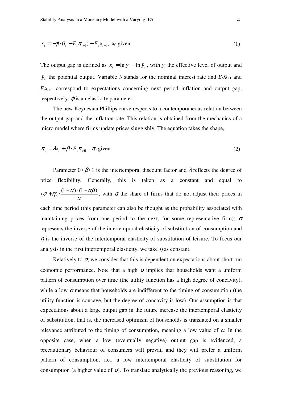$$
x_{t} = -\varphi \cdot (i_{t} - E_{t} \pi_{t+1}) + E_{t} x_{t+1}, \quad x_{0} \text{ given.}
$$
 (1)

The output gap is defined as  $x_t = \ln y_t - \ln \hat{y}_t$ , with  $y_t$  the effective level of output and  $\hat{y}_t$  the potential output. Variable  $i_t$  stands for the nominal interest rate and  $E_t \pi_{t+1}$  and  $E_t x_{t+1}$  correspond to expectations concerning next period inflation and output gap, respectively;  $\varphi$  is an elasticity parameter.

The new Keynesian Phillips curve respects to a contemporaneous relation between the output gap and the inflation rate. This relation is obtained from the mechanics of a micro model where firms update prices sluggishly. The equation takes the shape,

$$
\pi_t = \lambda x_t + \beta \cdot E_t \pi_{t+1}, \quad \pi_0 \text{ given.}
$$
\n<sup>(2)</sup>

Parameter  $0 < \beta < 1$  is the intertemporal discount factor and  $\lambda$  reflects the degree of price flexibility. Generally, this is taken as a constant and equal to α  $(\sigma + \eta) \cdot \frac{(1-\alpha) \cdot (1-\alpha\beta)}{(1-\alpha)}$ , with  $\alpha$  the share of firms that do not adjust their prices in each time period (this parameter can also be thought as the probability associated with maintaining prices from one period to the next, for some representative firm);  $\sigma$ represents the inverse of the intertemporal elasticity of substitution of consumption and  $\eta$  is the inverse of the intertemporal elasticity of substitution of leisure. To focus our analysis in the first intertemporal elasticity, we take  $\eta$  as constant.

Relatively to  $\sigma$ , we consider that this is dependent on expectations about short run economic performance. Note that a high  $\sigma$  implies that households want a uniform pattern of consumption over time (the utility function has a high degree of concavity), while a low  $\sigma$  means that households are indifferent to the timing of consumption (the utility function is concave, but the degree of concavity is low). Our assumption is that expectations about a large output gap in the future increase the intertemporal elasticity of substitution, that is, the increased optimism of households is translated on a smaller relevance attributed to the timing of consumption, meaning a low value of  $\sigma$ . In the opposite case, when a low (eventually negative) output gap is evidenced, a precautionary behaviour of consumers will prevail and they will prefer a uniform pattern of consumption, i.e., a low intertemporal elasticity of substitution for consumption (a higher value of  $\sigma$ ). To translate analytically the previous reasoning, we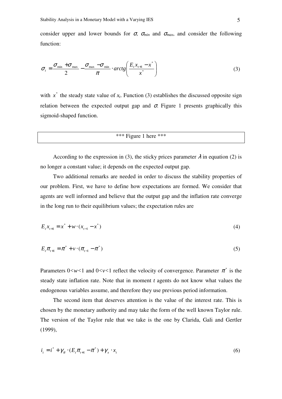$$
\sigma_{t} = \frac{\sigma_{\min} + \sigma_{\max}}{2} - \frac{\sigma_{\max} - \sigma_{\min}}{\pi} \cdot arctg\left(\frac{E_{t}x_{t+1} - x^{*}}{x^{*}}\right)
$$
(3)

with  $x^*$  the steady state value of  $x_t$ . Function (3) establishes the discussed opposite sign relation between the expected output gap and  $\sigma$ . Figure 1 presents graphically this sigmoid-shaped function.

### \*\*\* Figure 1 here \*\*\*

According to the expression in (3), the sticky prices parameter  $\lambda$  in equation (2) is no longer a constant value; it depends on the expected output gap.

Two additional remarks are needed in order to discuss the stability properties of our problem. First, we have to define how expectations are formed. We consider that agents are well informed and believe that the output gap and the inflation rate converge in the long run to their equilibrium values; the expectation rules are

$$
E_{t}x_{t+1} = x^* + w \cdot (x_{t-1} - x^*)
$$
\n<sup>(4)</sup>

$$
E_{t}\pi_{t+1} = \pi^{*} + \nu \cdot (\pi_{t-1} - \pi^{*})
$$
\n(5)

Parameters  $0 < w < 1$  and  $0 < v < 1$  reflect the velocity of convergence. Parameter  $\pi^*$  is the steady state inflation rate. Note that in moment *t* agents do not know what values the endogenous variables assume, and therefore they use previous period information.

The second item that deserves attention is the value of the interest rate. This is chosen by the monetary authority and may take the form of the well known Taylor rule. The version of the Taylor rule that we take is the one by Clarida, Gali and Gertler (1999),

$$
i_{t} = i^{*} + \gamma_{\pi} \cdot (E_{t} \pi_{t+1} - \pi^{*}) + \gamma_{x} \cdot x_{t}
$$
 (6)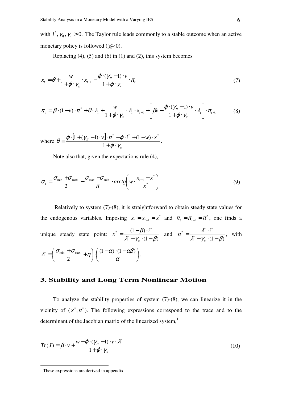with  $i^*$ ,  $\gamma_{\pi}$ ,  $\gamma_{\pi}$  > 0. The Taylor rule leads commonly to a stable outcome when an active monetary policy is followed (γπ*>*0).

Replacing  $(4)$ ,  $(5)$  and  $(6)$  in  $(1)$  and  $(2)$ , this system becomes

$$
x_{t} = \theta + \frac{w}{1 + \varphi \cdot \gamma_{x}} \cdot x_{t-1} - \frac{\varphi \cdot (\gamma_{\pi} - 1) \cdot v}{1 + \varphi \cdot \gamma_{x}} \cdot \pi_{t-1}
$$
(7)

$$
\pi_{t} = \beta \cdot (1 - \nu) \cdot \pi^{*} + \theta \cdot \lambda_{t} + \frac{w}{1 + \varphi \cdot \gamma_{x}} \cdot \lambda_{t} \cdot x_{t-1} + \left[ \beta \nu - \frac{\varphi \cdot (\gamma_{\pi} - 1) \cdot \nu}{1 + \varphi \cdot \gamma_{x}} \cdot \lambda_{t} \right] \cdot \pi_{t-1}
$$
(8)

.

where  $\theta = \frac{\varphi \cdot [1 + (\gamma_{\pi} - 1) \cdot v]}{2}$ *x*  $\mathbf{v}$ .  $\mathbf{x}^* - \boldsymbol{\varphi} \cdot \boldsymbol{i}^* + (1 - \mathbf{w}) \cdot \mathbf{x}$  $\varphi\cdot\gamma$  $\theta \equiv \frac{\varphi \cdot [1 + (\gamma_{\pi} - 1) \cdot v] \cdot \pi - \varphi}{\varphi}$  $+ \varphi$ .  $\equiv \frac{\varphi \cdot [1 + (\gamma_{\pi} - 1) \cdot v] \cdot \pi^* - \varphi \cdot i^* + (1 - w)}{2}$ 1  $[1 + (\gamma_{\pi} - 1) \cdot v] \cdot \pi^* - \varphi \cdot i^* + (1 - w) \cdot x^*$ 

Note also that, given the expectations rule (4),

$$
\sigma_{t} = \frac{\sigma_{\min} + \sigma_{\max}}{2} - \frac{\sigma_{\max} - \sigma_{\min}}{\pi} \cdot arctg\left(w \cdot \frac{x_{t-1} - x^{*}}{x^{*}}\right)
$$
(9)

 Relatively to system (7)-(8), it is straightforward to obtain steady state values for the endogenous variables. Imposing  $x_t = x_{t-1} = x^*$  and  $\pi_t = \pi_{t-1} = \pi^*$ , one finds a unique steady state point:  $(1-\beta)$  $(1 - \beta)$ \* \*  $(1-\beta) \cdot i^*$  $\lambda^* - \gamma_{\overline{x}} \cdot (1 - \beta)$  $\beta$  $-\gamma_{x}$  · (1 –  $=\frac{(1-\beta)}{n^*}$ *x*  $x^* = \frac{(1-\beta) \cdot i^*}{(1-\beta)^*}$  and  $\gamma^* - \gamma_{r} \cdot (1 - \beta)$ \*  $\lambda^* \cdot i^*$  $\lambda^* - \gamma_{\overline{x}} \cdot (1 - \beta)$  $\pi^* = \frac{\lambda^* \cdot i^*}{\lambda^* - \gamma_{\overline{x}} \cdot (1 =\frac{\lambda^*}{\lambda^*}$ *x*  $\frac{i^*}{(1-i^*)}$ , with  $\overline{\phantom{a}}$ J  $\left( \frac{(1-\alpha)\cdot(1-\alpha\beta)}{2} \right)$ l  $\left( \frac{(1-\alpha) \cdot (1-\alpha)}{2} \right)$ J  $\left(\frac{\sigma_{\min}+\sigma_{\max}}{1+\eta}\right)$ l ſ  $=\left(\frac{\sigma_{\min}+\sigma_{\max}}{2}+\eta\right)\cdot\left(\frac{(1-\alpha)\cdot(1-\alpha)}{\alpha}\right)$  $\lambda^* = \left(\frac{\sigma_{\min} + \sigma_{\max}}{2} + \eta\right) \cdot \left(\frac{(1-\alpha) \cdot (1-\alpha\beta)}{2}\right)$ 2  $\gamma^* = \left( \frac{U_{\text{min}} + U_{\text{max}}}{2} + \eta \right) \cdot \left( \frac{(1 - u) \cdot (1 - u \mu)}{2} \right).$ 

# **3. Stability and Long Term Nonlinear Motion**

To analyze the stability properties of system (7)-(8), we can linearize it in the vicinity of  $(x^*, \pi^*)$ . The following expressions correspond to the trace and to the determinant of the Jacobian matrix of the linearized system, $<sup>1</sup>$ </sup>

$$
Tr(J) = \beta \cdot \nu + \frac{w - \varphi \cdot (\gamma_{\pi} - 1) \cdot \nu \cdot \lambda^*}{1 + \varphi \cdot \gamma_{\pi}}
$$
\n(10)

 $\overline{a}$ 

<sup>&</sup>lt;sup>1</sup> These expressions are derived in appendix.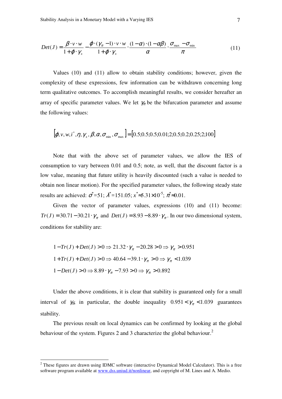$$
Det(J) = \frac{\beta \cdot v \cdot w}{1 + \varphi \cdot \gamma_x} - \frac{\varphi \cdot (\gamma_\pi - 1) \cdot v \cdot w}{1 + \varphi \cdot \gamma_x} \cdot \frac{(1 - \alpha) \cdot (1 - \alpha \beta)}{\alpha} \cdot \frac{\sigma_{\text{max}} - \sigma_{\text{min}}}{\pi}
$$
(11)

Values (10) and (11) allow to obtain stability conditions; however, given the complexity of these expressions, few information can be withdrawn concerning long term qualitative outcomes. To accomplish meaningful results, we consider hereafter an array of specific parameter values. We let  $\gamma_{\pi}$  be the bifurcation parameter and assume the following values:

$$
[\boldsymbol{\varphi}, \nu, w, i^*, \eta, \gamma_x, \boldsymbol{\beta}, \boldsymbol{\alpha}, \sigma_{\min}, \sigma_{\max}] = [0.5; 0.5; 0.5; 0.01; 2; 0.5; 0.2; 0.25; 2; 100]
$$

Note that with the above set of parameter values, we allow the IES of consumption to vary between 0.01 and 0.5; note, as well, that the discount factor is a low value, meaning that future utility is heavily discounted (such a value is needed to obtain non linear motion). For the specified parameter values, the following steady state results are achieved:  $\sigma^* = 51$ ;  $\lambda^* = 151.05$ ;  $x^* \approx 5.31 \times 10^{-5}$ ;  $\pi^* \approx 0.01$ .

Given the vector of parameter values, expressions (10) and (11) become:  $Tr(J) = 30.71 - 30.21 \cdot \gamma_{\pi}$  and  $Det(J) = 8.93 - 8.89 \cdot \gamma_{\pi}$ . In our two dimensional system, conditions for stability are:

$$
1 - Tr(J) + Det(J) > 0 \Rightarrow 21.32 \cdot \gamma_{\pi} - 20.28 > 0 \Rightarrow \gamma_{\pi} > 0.951
$$
\n
$$
1 + Tr(J) + Det(J) > 0 \Rightarrow 40.64 - 39.1 \cdot \gamma_{\pi} > 0 \Rightarrow \gamma_{\pi} < 1.039
$$
\n
$$
1 - Det(J) > 0 \Rightarrow 8.89 \cdot \gamma_{\pi} - 7.93 > 0 \Rightarrow \gamma_{\pi} > 0.892
$$

Under the above conditions, it is clear that stability is guaranteed only for a small interval of  $\gamma_{\pi}$ ; in particular, the double inequality  $0.951 < \gamma_{\pi} < 1.039$  guarantees stability.

The previous result on local dynamics can be confirmed by looking at the global behaviour of the system. Figures 2 and 3 characterize the global behaviour.<sup>2</sup>

 $\overline{a}$ 

 $2$  These figures are drawn using IDMC software (interactive Dynamical Model Calculator). This is a free software program available at www.dss.uniud.it/nonlinear, and copyright of M. Lines and A. Medio.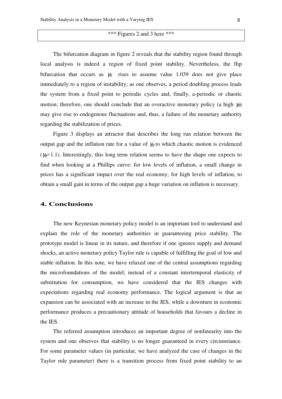#### \*\*\* Figures 2 and 3 here \*\*\*

The bifurcation diagram in figure 2 reveals that the stability region found through local analysis is indeed a region of fixed point stability. Nevertheless, the flip bifurcation that occurs as  $\gamma_{\pi}$  rises to assume value 1.039 does not give place immediately to a region of instability; as one observes, a period doubling process leads the system from a fixed point to periodic cycles and, finally, a-periodic or chaotic motion; therefore, one should conclude that an overactive monetary policy (a high  $\gamma_{\pi}$ ) may give rise to endogenous fluctuations and, thus, a failure of the monetary authority regarding the stabilization of prices.

Figure 3 displays an attractor that describes the long run relation between the output gap and the inflation rate for a value of  $\gamma$ <sub>π</sub> to which chaotic motion is evidenced ( $\gamma_{\pi}$ =1.1). Interestingly, this long term relation seems to have the shape one expects to find when looking at a Phillips curve: for low levels of inflation, a small change in prices has a significant impact over the real economy; for high levels of inflation, to obtain a small gain in terms of the output gap a huge variation on inflation is necessary.

#### **4. Conclusions**

The new Keynesian monetary policy model is an important tool to understand and explain the role of the monetary authorities in guaranteeing price stability. The prototype model is linear in its nature, and therefore if one ignores supply and demand shocks, an active monetary policy Taylor rule is capable of fulfilling the goal of low and stable inflation. In this note, we have relaxed one of the central assumptions regarding the microfoundations of the model; instead of a constant intertemporal elasticity of substitution for consumption, we have considered that the IES changes with expectations regarding real economy performance. The logical argument is that an expansion can be associated with an increase in the IES, while a downturn in economic performance produces a precautionary attitude of households that favours a decline in the IES.

The referred assumption introduces an important degree of nonlinearity into the system and one observes that stability is no longer guaranteed in every circumstance. For some parameter values (in particular, we have analyzed the case of changes in the Taylor rule parameter) there is a transition process from fixed point stability to an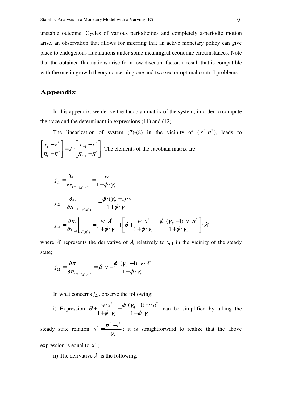unstable outcome. Cycles of various periodicities and completely a-periodic motion arise, an observation that allows for inferring that an active monetary policy can give place to endogenous fluctuations under some meaningful economic circumstances. Note that the obtained fluctuations arise for a low discount factor, a result that is compatible with the one in growth theory concerning one and two sector optimal control problems.

# **Appendix**

In this appendix, we derive the Jacobian matrix of the system, in order to compute the trace and the determinant in expressions (11) and (12).

The linearization of system (7)-(8) in the vicinity of  $(x^*, \pi^*)$ , leads to  $\overline{\phantom{a}}$  $\overline{\phantom{a}}$  $\overline{\phantom{a}}$ ┐  $\mathsf{L}$  $\mathbf{r}$ L Γ − −  $= J \cdot$  $\overline{\phantom{a}}$  $\overline{\phantom{a}}$  $\rfloor$ 1  $\mathsf{L}$  $\mathbf{r}$ L Γ − − − − \* 1 \* 1 \* \*  $\pi_{t} - \pi$   $\sigma_{t-1} - \pi$ *t t*  $\left[\begin{array}{c} x^* \\ x^{-1} \end{array}\right]$   $\left[\begin{array}{c} x_{t-1} - x \\ x^{-1} \end{array}\right]$ *J*  $x<sub>t</sub> - x$ . The elements of the Jacobian matrix are:

$$
j_{11} = \frac{\partial x_{t}}{\partial x_{t-1}}\Big|_{(x^*, \pi^*)} = \frac{w}{1 + \varphi \cdot \gamma_x}
$$
  
\n
$$
j_{12} = \frac{\partial x_{t}}{\partial \pi_{t-1}}\Big|_{(x^*, \pi^*)} = -\frac{\varphi \cdot (\gamma_{\pi} - 1) \cdot v}{1 + \varphi \cdot \gamma_x}
$$
  
\n
$$
j_{21} = \frac{\partial \pi_{t}}{\partial x_{t-1}}\Big|_{(x^*, \pi^*)} = \frac{w \cdot \lambda^*}{1 + \varphi \cdot \gamma_x} + \left[\varphi + \frac{w \cdot x^*}{1 + \varphi \cdot \gamma_x} - \frac{\varphi \cdot (\gamma_{\pi} - 1) \cdot v \cdot \pi^*}{1 + \varphi \cdot \gamma_x}\right] \cdot \lambda^*
$$

where  $\lambda$ ' represents the derivative of  $\lambda$ <sub>t</sub> relatively to  $x$ <sub>t-1</sub> in the vicinity of the steady state;

$$
j_{22} = \frac{\partial \pi}{\partial \pi_{t-1}}\Big|_{(x^*, \pi^*)} = \beta \cdot \nu - \frac{\varphi \cdot (\gamma_{\pi} - 1) \cdot \nu \cdot \lambda^*}{1 + \varphi \cdot \gamma_{x}}
$$

In what concerns  $j_{21}$ , observe the following:

i) Expression  $\mathbf{X}$  *x*  $\mathbf{I}$  *x*  $\mathbf{V}$  $w \cdot x^*$   $\varphi \cdot (\gamma_{\pi} - 1) \cdot v$  $\varphi\cdot\gamma$  $\varphi\cdot(\gamma_{\pi}-1)\cdot v\cdot\pi$  $\varphi\cdot\gamma$  $\theta + \frac{m}{\theta} - \frac{\varphi \sqrt{\pi}}{2}$  $+ \varphi$ .  $-\frac{\varphi\cdot(\gamma_{\pi}-1)\cdot\nu\cdot}{\cdot}$  $+ \varphi$ .  $+\frac{w}{1}$ 1  $(\gamma_{\pi}-1)$ 1 \*  $a(x + 1)$   $x^*$ can be simplified by taking the

steady state relation *x*  $x^* = \frac{\pi^* - i}{\pi}$ γ  $x^* = \frac{\pi^* - i^*}{i}$ ; it is straightforward to realize that the above

expression is equal to  $x^*$ ;

ii) The derivative  $\lambda$ ' is the following,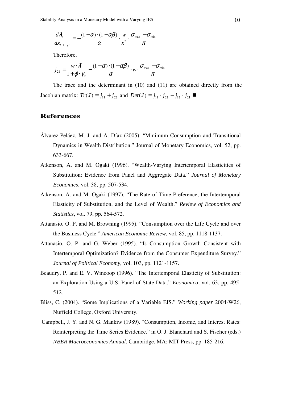Stability Analysis in a Monetary Model with a Varying IES 10

$$
\left. \frac{d\lambda_t}{dx_{t-1}} \right|_{x^*} = -\frac{(1-\alpha)\cdot(1-\alpha\beta)}{\alpha}\cdot\frac{w}{x^*}\cdot\frac{\sigma_{\max}-\sigma_{\min}}{\pi}
$$

Therefore,

$$
j_{21} = \frac{w \cdot \lambda^*}{1 + \varphi \cdot \gamma_x} - \frac{(1 - \alpha) \cdot (1 - \alpha \beta)}{\alpha} \cdot w \cdot \frac{\sigma_{\max} - \sigma_{\min}}{\pi}
$$

The trace and the determinant in (10) and (11) are obtained directly from the *Jacobian matrix:*  $Tr(J) = j_{11} + j_{22}$  and  $Det(J) = j_{11} \cdot j_{22} - j_{12} \cdot j_{21}$  ■

# **References**

- Álvarez-Peláez, M. J. and A. Díaz (2005). "Minimum Consumption and Transitional Dynamics in Wealth Distribution." Journal of Monetary Economics, vol. 52, pp. 633-667.
- Atkenson, A. and M. Ogaki (1996). "Wealth-Varying Intertemporal Elasticities of Substitution: Evidence from Panel and Aggregate Data." *Journal of Monetary Economics*, vol. 38, pp. 507-534.
- Atkenson, A. and M. Ogaki (1997). "The Rate of Time Preference, the Intertemporal Elasticity of Substitution, and the Level of Wealth." *Review of Economics and Statistics*, vol. 79, pp. 564-572.
- Attanasio, O. P. and M. Browning (1995). "Consumption over the Life Cycle and over the Business Cycle." *American Economic Review*, vol. 85, pp. 1118-1137.
- Attanasio, O. P. and G. Weber (1995). "Is Consumption Growth Consistent with Intertemporal Optimization? Evidence from the Consumer Expenditure Survey." *Journal of Political Economy*, vol. 103, pp. 1121-1157.
- Beaudry, P. and E. V. Wincoop (1996). "The Intertemporal Elasticity of Substitution: an Exploration Using a U.S. Panel of State Data." *Economica*, vol. 63, pp. 495- 512.
- Bliss, C. (2004). "Some Implications of a Variable EIS." *Working paper* 2004-W26, Nuffield College, Oxford University.
- Campbell, J. Y. and N. G. Mankiw (1989). "Consumption, Income, and Interest Rates: Reinterpreting the Time Series Evidence." in O. J. Blanchard and S. Fischer (eds.) *NBER Macroeconomics Annual*, Cambridge, MA: MIT Press, pp. 185-216.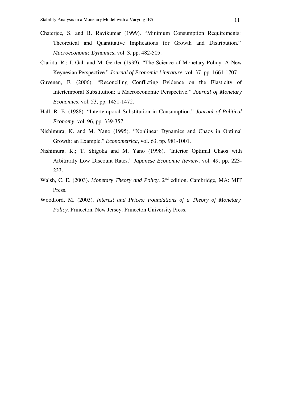- Chaterjee, S. and B. Ravikumar (1999). "Minimum Consumption Requirements: Theoretical and Quantitative Implications for Growth and Distribution." *Macroeconomic Dynamics*, vol. 3, pp. 482-505.
- Clarida, R.; J. Gali and M. Gertler (1999). "The Science of Monetary Policy: A New Keynesian Perspective." *Journal of Economic Literature*, vol. 37, pp. 1661-1707.
- Guvenen, F. (2006). "Reconciling Conflicting Evidence on the Elasticity of Intertemporal Substitution: a Macroeconomic Perspective." *Journal of Monetary Economics*, vol. 53, pp. 1451-1472.
- Hall, R. E. (1988). "Intertemporal Substitution in Consumption." *Journal of Political Economy*, vol. 96, pp. 339-357.
- Nishimura, K. and M. Yano (1995). "Nonlinear Dynamics and Chaos in Optimal Growth: an Example." *Econometrica*, vol. 63, pp. 981-1001.
- Nishimura, K.; T. Shigoka and M. Yano (1998). "Interior Optimal Chaos with Arbitrarily Low Discount Rates." *Japanese Economic Review*, vol. 49, pp. 223- 233.
- Walsh, C. E. (2003). *Monetary Theory and Policy*. 2<sup>nd</sup> edition. Cambridge, MA: MIT Press.
- Woodford, M. (2003). *Interest and Prices: Foundations of a Theory of Monetary Policy*. Princeton, New Jersey: Princeton University Press.